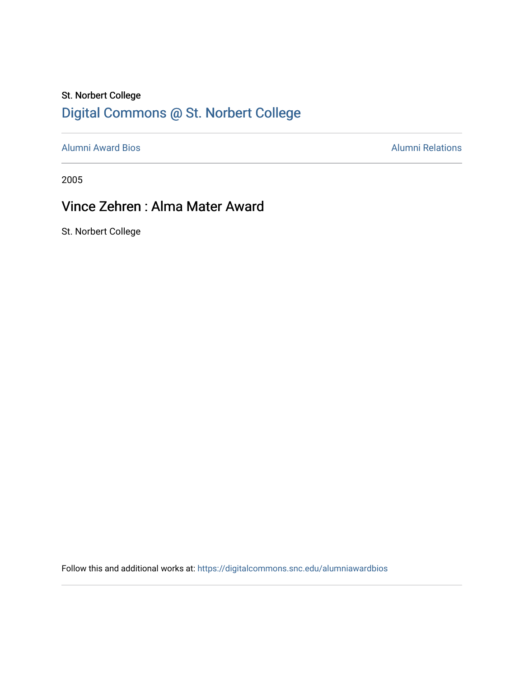## St. Norbert College [Digital Commons @ St. Norbert College](https://digitalcommons.snc.edu/)

[Alumni Award Bios](https://digitalcommons.snc.edu/alumniawardbios) **Alumni Relations** Alumni Relations

2005

## Vince Zehren : Alma Mater Award

St. Norbert College

Follow this and additional works at: [https://digitalcommons.snc.edu/alumniawardbios](https://digitalcommons.snc.edu/alumniawardbios?utm_source=digitalcommons.snc.edu%2Falumniawardbios%2F15&utm_medium=PDF&utm_campaign=PDFCoverPages)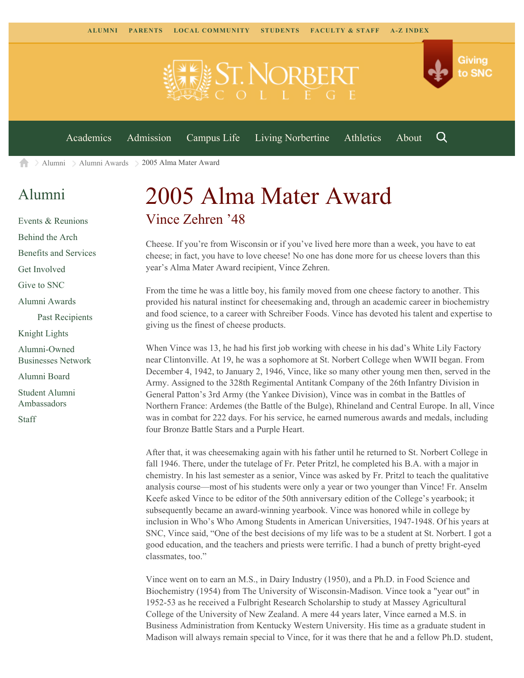

[Alumni](https://www.snc.edu/alumni/) [Alumni Awards](https://www.snc.edu/alumni/awards/) 2005 Alma Mater Award A

## [Alumni](https://www.snc.edu/alumni/index.html)

[Events & Reunions](https://www.snc.edu/alumni/event/index.html) [Behind the Arch](https://www.snc.edu/alumni/event/behindthearch/) [Benefits and Services](https://www.snc.edu/alumni/benefits.html) [Get Involved](https://www.snc.edu/alumni/getinvolved.html) [Give to SNC](http://giving.snc.edu/) [Alumni Awards](https://www.snc.edu/alumni/awards/index.html) [Past Recipients](https://www.snc.edu/alumni/awards/recipients.html) [Knight Lights](https://www.snc.edu/alumni/knightlights/index.html) [Alumni-Owned](https://www.snc.edu/alumni/directory/index.html) [Businesses Network](https://www.snc.edu/alumni/directory/index.html) [Alumni Board](https://www.snc.edu/alumni/alumniboard.html) [Student Alumni](https://www.snc.edu/alumni/saa.html) [Ambassadors](https://www.snc.edu/alumni/saa.html) [Staff](https://www.snc.edu/alumni/contactus.html)

## 2005 Alma Mater Award Vince Zehren '48

Cheese. If you're from Wisconsin or if you've lived here more than a week, you have to eat cheese; in fact, you have to love cheese! No one has done more for us cheese lovers than this year's Alma Mater Award recipient, Vince Zehren.

From the time he was a little boy, his family moved from one cheese factory to another. This provided his natural instinct for cheesemaking and, through an academic career in biochemistry and food science, to a career with Schreiber Foods. Vince has devoted his talent and expertise to giving us the finest of cheese products.

When Vince was 13, he had his first job working with cheese in his dad's White Lily Factory near Clintonville. At 19, he was a sophomore at St. Norbert College when WWII began. From December 4, 1942, to January 2, 1946, Vince, like so many other young men then, served in the Army. Assigned to the 328th Regimental Antitank Company of the 26th Infantry Division in General Patton's 3rd Army (the Yankee Division), Vince was in combat in the Battles of Northern France: Ardemes (the Battle of the Bulge), Rhineland and Central Europe. In all, Vince was in combat for 222 days. For his service, he earned numerous awards and medals, including four Bronze Battle Stars and a Purple Heart.

After that, it was cheesemaking again with his father until he returned to St. Norbert College in fall 1946. There, under the tutelage of Fr. Peter Pritzl, he completed his B.A. with a major in chemistry. In his last semester as a senior, Vince was asked by Fr. Pritzl to teach the qualitative analysis course—most of his students were only a year or two younger than Vince! Fr. Anselm Keefe asked Vince to be editor of the 50th anniversary edition of the College's yearbook; it subsequently became an award-winning yearbook. Vince was honored while in college by inclusion in Who's Who Among Students in American Universities, 1947-1948. Of his years at SNC, Vince said, "One of the best decisions of my life was to be a student at St. Norbert. I got a good education, and the teachers and priests were terrific. I had a bunch of pretty bright-eyed classmates, too."

Vince went on to earn an M.S., in Dairy Industry (1950), and a Ph.D. in Food Science and Biochemistry (1954) from The University of Wisconsin-Madison. Vince took a "year out" in 1952-53 as he received a Fulbright Research Scholarship to study at Massey Agricultural College of the University of New Zealand. A mere 44 years later, Vince earned a M.S. in Business Administration from Kentucky Western University. His time as a graduate student in Madison will always remain special to Vince, for it was there that he and a fellow Ph.D. student,